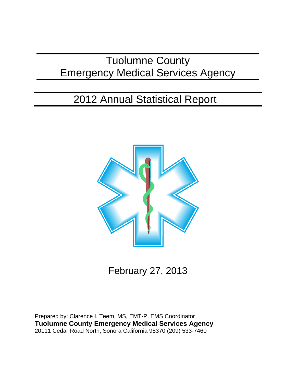# Tuolumne County Emergency Medical Services Agency

# 2012 Annual Statistical Report



February 27, 2013

Prepared by: Clarence I. Teem, MS, EMT-P, EMS Coordinator **Tuolumne County Emergency Medical Services Agency** 20111 Cedar Road North, Sonora California 95370 (209) 533-7460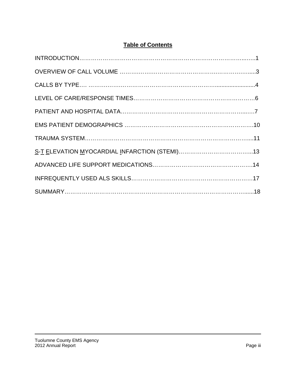# **Table of Contents**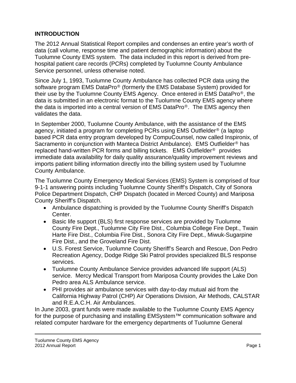## **INTRODUCTION**

The 2012 Annual Statistical Report compiles and condenses an entire year's worth of data (call volume, response time and patient demographic information) about the Tuolumne County EMS system. The data included in this report is derived from prehospital patient care records (PCRs) completed by Tuolumne County Ambulance Service personnel, unless otherwise noted.

Since July 1, 1993, Tuolumne County Ambulance has collected PCR data using the software program EMS DataPro® (formerly the EMS Database System) provided for their use by the Tuolumne County EMS Agency. Once entered in EMS DataPro®, the data is submitted in an electronic format to the Tuolumne County EMS agency where the data is imported into a central version of EMS DataPro®. The EMS agency then validates the data.

In September 2000, Tuolumne County Ambulance, with the assistance of the EMS agency, initiated a program for completing PCRs using EMS Outfielder® (a laptop based PCR data entry program developed by CompuCounsel, now called Inspironix, of Sacramento in conjunction with Manteca District Ambulance). EMS Outfielder® has replaced hand-written PCR forms and billing tickets. EMS Outfielder® provides immediate data availability for daily quality assurance/quality improvement reviews and imports patient billing information directly into the billing system used by Tuolumne County Ambulance.

The Tuolumne County Emergency Medical Services (EMS) System is comprised of four 9-1-1 answering points including Tuolumne County Sheriff's Dispatch, City of Sonora Police Department Dispatch, CHP Dispatch (located in Merced County) and Mariposa County Sheriff's Dispatch.

- Ambulance dispatching is provided by the Tuolumne County Sheriff's Dispatch Center.
- Basic life support (BLS) first response services are provided by Tuolumne County Fire Dept., Tuolumne City Fire Dist., Columbia College Fire Dept., Twain Harte Fire Dist., Columbia Fire Dist., Sonora City Fire Dept., Miwuk-Sugarpine Fire Dist., and the Groveland Fire Dist.
- U.S. Forest Service, Tuolumne County Sheriff's Search and Rescue, Don Pedro Recreation Agency, Dodge Ridge Ski Patrol provides specialized BLS response services.
- Tuolumne County Ambulance Service provides advanced life support (ALS) service. Mercy Medical Transport from Mariposa County provides the Lake Don Pedro area ALS Ambulance service.
- PHI provides air ambulance services with day-to-day mutual aid from the California Highway Patrol (CHP) Air Operations Division, Air Methods, CALSTAR and R.E.A.C.H. Air Ambulances.

In June 2003, grant funds were made available to the Tuolumne County EMS Agency for the purpose of purchasing and installing EMSystem™ communication software and related computer hardware for the emergency departments of Tuolumne General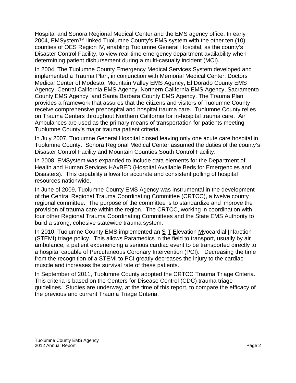Hospital and Sonora Regional Medical Center and the EMS agency office. In early 2004, EMSystem™ linked Tuolumne County's EMS system with the other ten (10) counties of OES Region IV, enabling Tuolumne General Hospital, as the county's Disaster Control Facility, to view real-time emergency department availability when determining patient disbursement during a multi-casualty incident (MCI).

In 2004, The Tuolumne County Emergency Medical Services System developed and implemented a Trauma Plan, in conjunction with Memorial Medical Center, Doctors Medical Center of Modesto, Mountain Valley EMS Agency, El Dorado County EMS Agency, Central California EMS Agency, Northern California EMS Agency, Sacramento County EMS Agency, and Santa Barbara County EMS Agency. The Trauma Plan provides a framework that assures that the citizens and visitors of Tuolumne County receive comprehensive prehospital and hospital trauma care. Tuolumne County relies on Trauma Centers throughout Northern California for in-hospital trauma care. Air Ambulances are used as the primary means of transportation for patients meeting Tuolumne County's major trauma patient criteria.

In July 2007, Tuolumne General Hospital closed leaving only one acute care hospital in Tuolumne County. Sonora Regional Medical Center assumed the duties of the county's Disaster Control Facility and Mountain Counties South Control Facility.

In 2008, EMSystem was expanded to include data elements for the Department of Health and Human Services HAvBED (Hospital Available Beds for Emergencies and Disasters). This capability allows for accurate and consistent polling of hospital resources nationwide.

In June of 2009, Tuolumne County EMS Agency was instrumental in the development of the Central Regional Trauma Coordinating Committee (CRTCC), a twelve county regional committee. The purpose of the committee is to standardize and improve the provision of trauma care within the region. The CRTCC, working in coordination with four other Regional Trauma Coordinating Committees and the State EMS Authority to build a strong, cohesive statewide trauma system.

In 2010, Tuolumne County EMS implemented an S-T Elevation Myocardial Infarction (STEMI) triage policy. This allows Paramedics in the field to transport, usually by air ambulance, a patient experiencing a serious cardiac event to be transported directly to a hospital capable of Percutaneous Coronary Intervention (PCI). Decreasing the time from the recognition of a STEMI to PCI greatly decreases the injury to the cardiac muscle and increases the survival rate of these patients.

In September of 2011, Tuolumne County adopted the CRTCC Trauma Triage Criteria. This criteria is based on the Centers for Disease Control (CDC) trauma triage guidelines. Studies are underway, at the time of this report, to compare the efficacy of the previous and current Trauma Triage Criteria.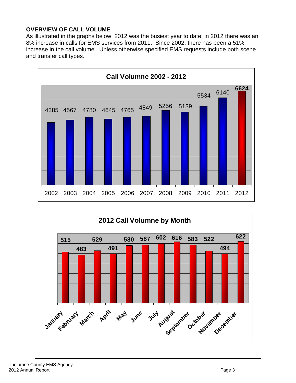## **OVERVIEW OF CALL VOLUME**

As illustrated in the graphs below, 2012 was the busiest year to date; in 2012 there was an 8% increase in calls for EMS services from 2011. Since 2002, there has been a 51% increase in the call volume. Unless otherwise specified EMS requests include both scene and transfer call types.



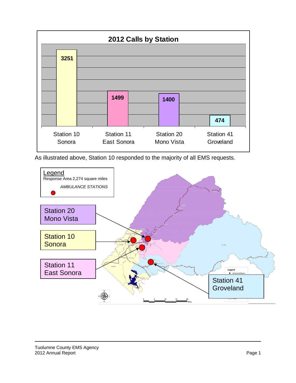

As illustrated above, Station 10 responded to the majority of all EMS requests.

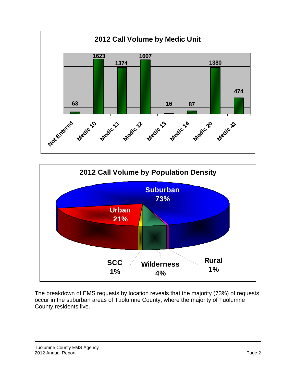



The breakdown of EMS requests by location reveals that the majority (73%) of requests occur in the suburban areas of Tuolumne County, where the majority of Tuolumne County residents live.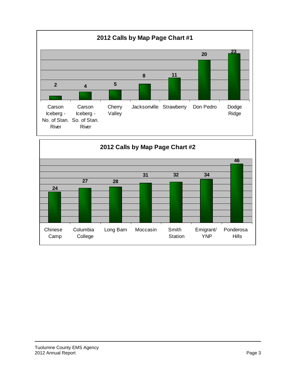

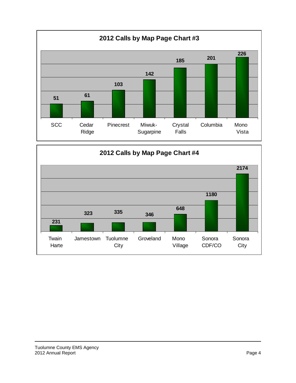

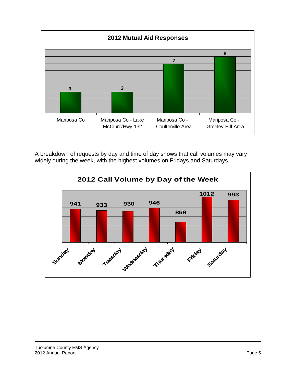

A breakdown of requests by day and time of day shows that call volumes may vary widely during the week, with the highest volumes on Fridays and Saturdays.

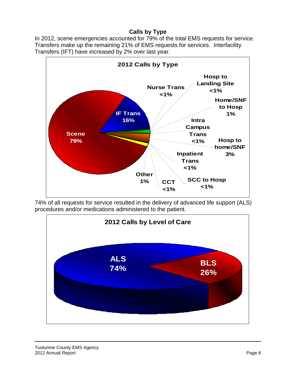### **Calls by Type**

In 2012, scene emergencies accounted for 79% of the total EMS requests for service. Transfers make up the remaining 21% of EMS requests for services. Interfacility Transfers (IFT) have increased by 2% over last year.



74% of all requests for service resulted in the delivery of advanced life support (ALS) procedures and/or medications administered to the patient.

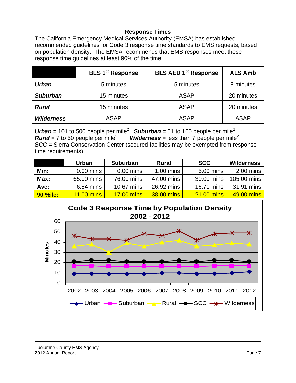#### **Response Times**

The California Emergency Medical Services Authority (EMSA) has established recommended guidelines for Code 3 response time standards to EMS requests, based on population density. The EMSA recommends that EMS responses meet these response time guidelines at least 90% of the time.

|                   | <b>BLS 1<sup>st</sup> Response</b> | <b>BLS AED 1st Response</b> | <b>ALS Amb</b> |
|-------------------|------------------------------------|-----------------------------|----------------|
| <b>Urban</b>      | 5 minutes                          | 5 minutes                   | 8 minutes      |
| <b>Suburban</b>   | 15 minutes                         | <b>ASAP</b>                 | 20 minutes     |
| <b>Rural</b>      | 15 minutes                         | <b>ASAP</b>                 | 20 minutes     |
| <b>Wilderness</b> | <b>ASAP</b>                        | <b>ASAP</b>                 | <b>ASAP</b>    |

Urban = 101 to 500 people per mile<sup>2</sup> **Suburban** = 51 to 100 people per mile<sup>2</sup> *Rural* = 7 to 50 people per mile<sup>2</sup> *Wilderness* = less than  $\overline{7}$  people per mile<sup>2</sup> **SCC** = Sierra Conservation Center (secured facilities may be exempted from response time requirements)

|                 | <b>Urban</b>      | <b>Suburban</b>   | <b>Rural</b> | <b>SCC</b>        | <b>Wilderness</b> |
|-----------------|-------------------|-------------------|--------------|-------------------|-------------------|
| Min:            | $0.00$ mins       | $0.00$ mins       | $1.00$ mins  | 5.00 mins         | $2.00$ mins       |
| Max:            | 65.00 mins        | 76.00 mins        | 47.00 mins   | 30.00 mins        | 105.00 mins       |
| Ave:            | $6.54$ mins       | 10.67 mins        | 26.92 mins   | 16.71 mins        | 31.91 mins        |
| <b>90 %ile:</b> | <b>11.00 mins</b> | <b>17.00 mins</b> | 38.00 mins   | <b>21.00 mins</b> | 49.00 mins        |

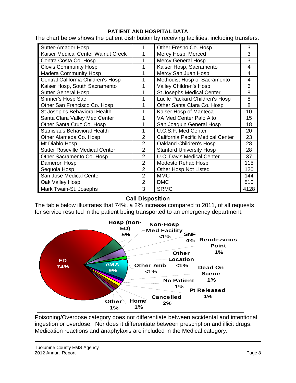#### **PATIENT AND HOSPITAL DATA**

The chart below shows the patient distribution by receiving facilities, including transfers.

| Sutter-Amador Hosp                     |                | Other Fresno Co. Hosp             | 3    |
|----------------------------------------|----------------|-----------------------------------|------|
| Kaiser Medical Center Walnut Creek     |                | Mercy Hosp, Merced                | 3    |
| Contra Costa Co. Hosp                  |                | <b>Mercy General Hosp</b>         | 3    |
| <b>Clovis Community Hosp</b>           |                | Kaiser Hosp, Sacramento           | 4    |
| <b>Madera Community Hosp</b>           |                | Mercy San Juan Hosp               | 4    |
| Central California Children's Hosp     |                | Methodist Hosp of Sacramento      | 4    |
| Kaiser Hosp, South Sacramento          |                | Valley Children's Hosp            | 6    |
| <b>Sutter General Hosp</b>             |                | <b>St Josephs Medical Center</b>  | 8    |
| Shriner's Hosp Sac                     |                | Lucile Packard Children's Hosp    | 8    |
| Other San Francisco Co. Hosp           |                | Other Santa Clara Co. Hosp        | 8    |
| St Joseph's Behavioral Health          |                | Kaiser Hosp of Manteca            | 10   |
| Santa Clara Valley Med Center          |                | VA Med Center Palo Alto           | 15   |
| Other Santa Cruz Co. Hosp              |                | San Joaquin General Hosp          | 18   |
| <b>Stanislaus Behavioral Health</b>    |                | U.C.S.F. Med Center               | 20   |
| Other Alameda Co. Hosp                 | $\overline{2}$ | California Pacific Medical Center | 23   |
| Mt Diablo Hosp                         | $\overline{2}$ | Oakland Children's Hosp           | 28   |
| <b>Sutter Roseville Medical Center</b> | $\overline{2}$ | <b>Stanford University Hosp</b>   | 28   |
| Other Sacramento Co. Hosp              | $\overline{2}$ | <b>U.C. Davis Medical Center</b>  | 37   |
| Dameron Hosp                           | $\overline{2}$ | Modesto Rehab Hosp                | 115  |
| Sequoia Hosp                           | $\overline{2}$ | <b>Other Hosp Not Listed</b>      | 120  |
| San Jose Medical Center                | $\overline{2}$ | <b>MMC</b>                        | 144  |
| Oak Valley Hosp                        | $\overline{2}$ | <b>DMC</b>                        | 510  |
| Mark Twain-St. Josephs                 | 3              | <b>SRMC</b>                       | 4128 |

#### **Call Disposition**

The table below illustrates that 74%, a 2% increase compared to 2011, of all requests for service resulted in the patient being transported to an emergency department.



Poisoning/Overdose category does not differentiate between accidental and intentional ingestion or overdose. Nor does it differentiate between prescription and illicit drugs. Medication reactions and anaphylaxis are included in the Medical category.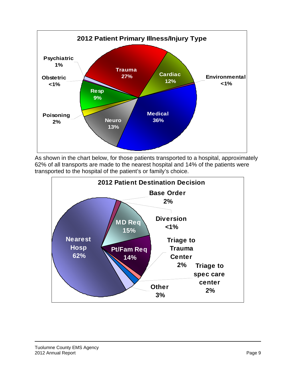

As shown in the chart below, for those patients transported to a hospital, approximately 62% of all transports are made to the nearest hospital and 14% of the patients were transported to the hospital of the patient's or family's choice.

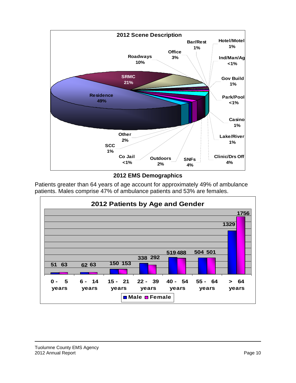

**2012 EMS Demographics** 

Patients greater than 64 years of age account for approximately 49% of ambulance patients. Males comprise 47% of ambulance patients and 53% are females.

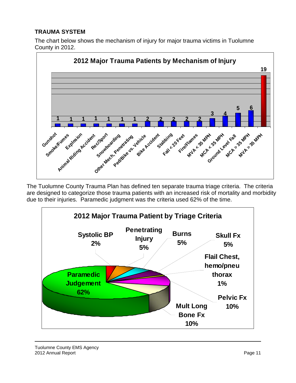## **TRAUMA SYSTEM**

The chart below shows the mechanism of injury for major trauma victims in Tuolumne County in 2012.



The Tuolumne County Trauma Plan has defined ten separate trauma triage criteria. The criteria are designed to categorize those trauma patients with an increased risk of mortality and morbidity due to their injuries. Paramedic judgment was the criteria used 62% of the time.



Tuolumne County EMS Agency 2012 Annual Report **Page 11**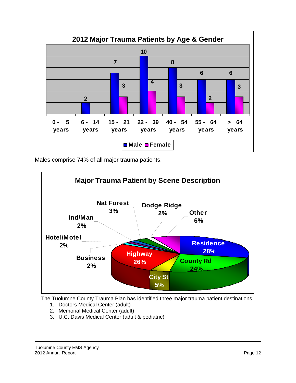

Males comprise 74% of all major trauma patients.



The Tuolumne County Trauma Plan has identified three major trauma patient destinations.

- 1. Doctors Medical Center (adult)
- 2. Memorial Medical Center (adult)
- 3. U.C. Davis Medical Center (adult & pediatric)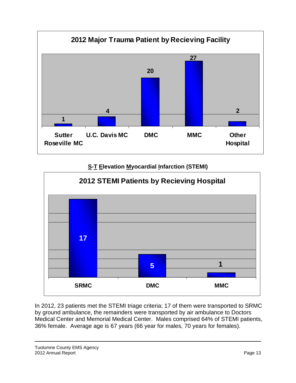

# **S-T Elevation Myocardial Infarction (STEMI)**



In 2012, 23 patients met the STEMI triage criteria; 17 of them were transported to SRMC by ground ambulance, the remainders were transported by air ambulance to Doctors Medical Center and Memorial Medical Center. Males comprised 64% of STEMI patients, 36% female. Average age is 67 years (66 year for males, 70 years for females).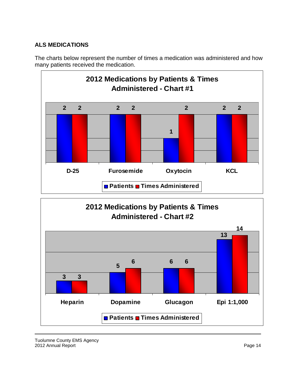# **ALS MEDICATIONS**

The charts below represent the number of times a medication was administered and how many patients received the medication.





Tuolumne County EMS Agency 2012 Annual Report **Page 14** November 2012 Annual Report **Page 14**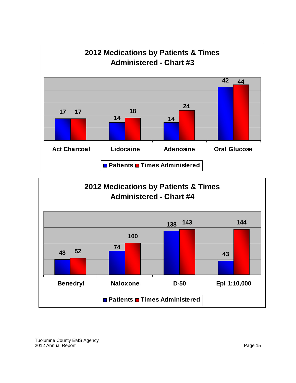

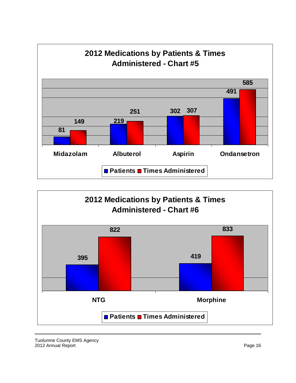



Tuolumne County EMS Agency 2012 Annual Report Page 16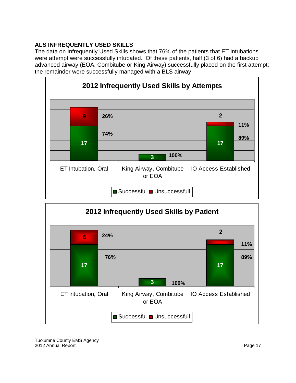# **ALS INFREQUENTLY USED SKILLS**

The data on Infrequently Used Skills shows that 76% of the patients that ET intubations were attempt were successfully intubated. Of these patients, half (3 of 6) had a backup advanced airway (EOA, Combitube or King Airway) successfully placed on the first attempt; the remainder were successfully managed with a BLS airway.





Tuolumne County EMS Agency 2012 Annual Report **Page 17** No. 2012 Annual Report **Page 17**